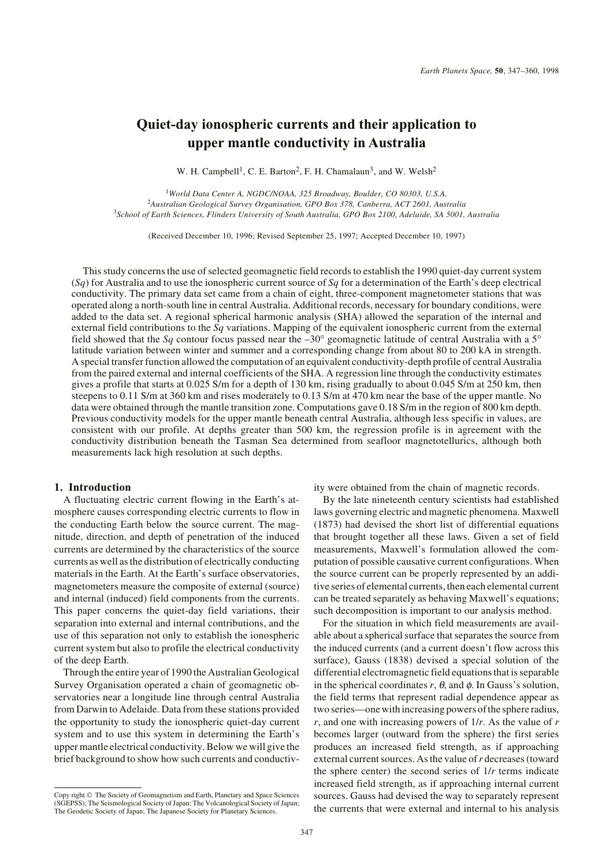# **Quiet-day ionospheric currents and their application to upper mantle conductivity in Australia**

W. H. Campbell<sup>1</sup>, C. E. Barton<sup>2</sup>, F. H. Chamalaun<sup>3</sup>, and W. Welsh<sup>2</sup>

<sup>1</sup>*World Data Center A, NGDC/NOAA, 325 Broadway, Boulder, CO 80303, U.S.A.* <sup>2</sup>*Australian Geological Survey Organisation, GPO Box 378, Canberra, ACT 2601, Australia* 3 *School of Earth Sciences, Flinders University of South Australia, GPO Box 2100, Adelaide, SA 5001, Australia*

(Received December 10, 1996; Revised September 25, 1997; Accepted December 10, 1997)

This study concerns the use of selected geomagnetic field records to establish the 1990 quiet-day current system (*Sq*) for Australia and to use the ionospheric current source of *Sq* for a determination of the Earth's deep electrical conductivity. The primary data set came from a chain of eight, three-component magnetometer stations that was operated along a north-south line in central Australia. Additional records, necessary for boundary conditions, were added to the data set. A regional spherical harmonic analysis (SHA) allowed the separation of the internal and external field contributions to the *Sq* variations. Mapping of the equivalent ionospheric current from the external field showed that the *Sq* contour focus passed near the –30° geomagnetic latitude of central Australia with a 5° latitude variation between winter and summer and a corresponding change from about 80 to 200 kA in strength. A special transfer function allowed the computation of an equivalent conductivity-depth profile of central Australia from the paired external and internal coefficients of the SHA. A regression line through the conductivity estimates gives a profile that starts at 0.025 S/m for a depth of 130 km, rising gradually to about 0.045 S/m at 250 km, then steepens to 0.11 S/m at 360 km and rises moderately to 0.13 S/m at 470 km near the base of the upper mantle. No data were obtained through the mantle transition zone. Computations gave 0.18 S/m in the region of 800 km depth. Previous conductivity models for the upper mantle beneath central Australia, although less specific in values, are consistent with our profile. At depths greater than 500 km, the regression profile is in agreement with the conductivity distribution beneath the Tasman Sea determined from seafloor magnetotellurics, although both measurements lack high resolution at such depths.

# **1. Introduction**

A fluctuating electric current flowing in the Earth's atmosphere causes corresponding electric currents to flow in the conducting Earth below the source current. The magnitude, direction, and depth of penetration of the induced currents are determined by the characteristics of the source currents as well as the distribution of electrically conducting materials in the Earth. At the Earth's surface observatories, magnetometers measure the composite of external (source) and internal (induced) field components from the currents. This paper concerns the quiet-day field variations, their separation into external and internal contributions, and the use of this separation not only to establish the ionospheric current system but also to profile the electrical conductivity of the deep Earth.

Through the entire year of 1990 the Australian Geological Survey Organisation operated a chain of geomagnetic observatories near a longitude line through central Australia from Darwin to Adelaide. Data from these stations provided the opportunity to study the ionospheric quiet-day current system and to use this system in determining the Earth's upper mantle electrical conductivity. Below we will give the brief background to show how such currents and conductiv-

Copy right © The Society of Geomagnetism and Earth, Planetary and Space Sciences (SGEPSS); The Seismological Society of Japan; The Volcanological Society of Japan; The Geodetic Society of Japan; The Japanese Society for Planetary Sciences.

ity were obtained from the chain of magnetic records.

By the late nineteenth century scientists had established laws governing electric and magnetic phenomena. Maxwell (1873) had devised the short list of differential equations that brought together all these laws. Given a set of field measurements, Maxwell's formulation allowed the computation of possible causative current configurations. When the source current can be properly represented by an additive series of elemental currents, then each elemental current can be treated separately as behaving Maxwell's equations; such decomposition is important to our analysis method.

For the situation in which field measurements are available about a spherical surface that separates the source from the induced currents (and a current doesn't flow across this surface), Gauss (1838) devised a special solution of the differential electromagnetic field equations that is separable in the spherical coordinates  $r$ ,  $\theta$ , and  $\phi$ . In Gauss's solution, the field terms that represent radial dependence appear as two series—one with increasing powers of the sphere radius, *r*, and one with increasing powers of 1/*r*. As the value of *r* becomes larger (outward from the sphere) the first series produces an increased field strength, as if approaching external current sources. As the value of *r* decreases (toward the sphere center) the second series of 1/*r* terms indicate increased field strength, as if approaching internal current sources. Gauss had devised the way to separately represent the currents that were external and internal to his analysis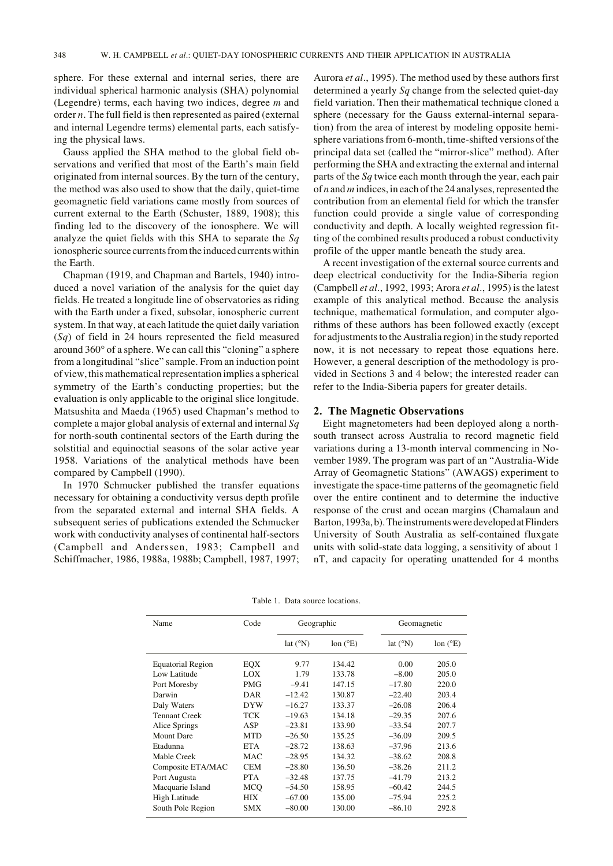sphere. For these external and internal series, there are individual spherical harmonic analysis (SHA) polynomial (Legendre) terms, each having two indices, degree *m* and order *n*. The full field is then represented as paired (external and internal Legendre terms) elemental parts, each satisfying the physical laws.

Gauss applied the SHA method to the global field observations and verified that most of the Earth's main field originated from internal sources. By the turn of the century, the method was also used to show that the daily, quiet-time geomagnetic field variations came mostly from sources of current external to the Earth (Schuster, 1889, 1908); this finding led to the discovery of the ionosphere. We will analyze the quiet fields with this SHA to separate the *Sq* ionospheric source currents from the induced currents within the Earth.

Chapman (1919, and Chapman and Bartels, 1940) introduced a novel variation of the analysis for the quiet day fields. He treated a longitude line of observatories as riding with the Earth under a fixed, subsolar, ionospheric current system. In that way, at each latitude the quiet daily variation (*Sq*) of field in 24 hours represented the field measured around 360° of a sphere. We can call this "cloning" a sphere from a longitudinal "slice" sample. From an induction point of view, this mathematical representation implies a spherical symmetry of the Earth's conducting properties; but the evaluation is only applicable to the original slice longitude. Matsushita and Maeda (1965) used Chapman's method to complete a major global analysis of external and internal *Sq* for north-south continental sectors of the Earth during the solstitial and equinoctial seasons of the solar active year 1958. Variations of the analytical methods have been compared by Campbell (1990).

In 1970 Schmucker published the transfer equations necessary for obtaining a conductivity versus depth profile from the separated external and internal SHA fields. A subsequent series of publications extended the Schmucker work with conductivity analyses of continental half-sectors (Campbell and Anderssen, 1983; Campbell and Schiffmacher, 1986, 1988a, 1988b; Campbell, 1987, 1997; Aurora *et al*., 1995). The method used by these authors first determined a yearly *Sq* change from the selected quiet-day field variation. Then their mathematical technique cloned a sphere (necessary for the Gauss external-internal separation) from the area of interest by modeling opposite hemisphere variations from 6-month, time-shifted versions of the principal data set (called the "mirror-slice" method). After performing the SHA and extracting the external and internal parts of the *Sq* twice each month through the year, each pair of *n* and *m* indices, in each of the 24 analyses, represented the contribution from an elemental field for which the transfer function could provide a single value of corresponding conductivity and depth. A locally weighted regression fitting of the combined results produced a robust conductivity profile of the upper mantle beneath the study area.

A recent investigation of the external source currents and deep electrical conductivity for the India-Siberia region (Campbell *et al*., 1992, 1993; Arora *et al*., 1995) is the latest example of this analytical method. Because the analysis technique, mathematical formulation, and computer algorithms of these authors has been followed exactly (except for adjustments to the Australia region) in the study reported now, it is not necessary to repeat those equations here. However, a general description of the methodology is provided in Sections 3 and 4 below; the interested reader can refer to the India-Siberia papers for greater details.

## **2. The Magnetic Observations**

Eight magnetometers had been deployed along a northsouth transect across Australia to record magnetic field variations during a 13-month interval commencing in November 1989. The program was part of an "Australia-Wide Array of Geomagnetic Stations" (AWAGS) experiment to investigate the space-time patterns of the geomagnetic field over the entire continent and to determine the inductive response of the crust and ocean margins (Chamalaun and Barton, 1993a, b). The instruments were developed at Flinders University of South Australia as self-contained fluxgate units with solid-state data logging, a sensitivity of about 1 nT, and capacity for operating unattended for 4 months

| Name                     | Code | Geographic        |                   | Geomagnetic       |                   |
|--------------------------|------|-------------------|-------------------|-------------------|-------------------|
|                          |      | lat $(^{\circ}N)$ | lon $(^{\circ}E)$ | lat $(^{\circ}N)$ | lon $(^{\circ}E)$ |
| <b>Equatorial Region</b> | EQX  | 9.77              | 134.42            | 0.00              | 205.0             |
| Low Latitude             | LOX  | 1.79              | 133.78            | $-8.00$           | 205.0             |
| Port Moresby             | PMG  | $-9.41$           | 147.15            | $-17.80$          | 220.0             |
| Darwin                   | DAR  | $-12.42$          | 130.87            | $-22.40$          | 203.4             |
| Daly Waters              | DYW  | $-16.27$          | 133.37            | $-26.08$          | 206.4             |
| <b>Tennant Creek</b>     | TCK  | $-19.63$          | 134.18            | $-29.35$          | 207.6             |
| Alice Springs            | ASP  | $-23.81$          | 133.90            | $-33.54$          | 207.7             |
| <b>Mount Dare</b>        | MTD  | $-26.50$          | 135.25            | $-36.09$          | 209.5             |
| Etadunna                 | ETA  | $-28.72$          | 138.63            | $-37.96$          | 213.6             |
| Mable Creek              | MAC  | $-28.95$          | 134.32            | $-38.62$          | 208.8             |
| Composite ETA/MAC        | CEM  | $-28.80$          | 136.50            | $-38.26$          | 211.2             |
| Port Augusta             | PTA  | $-32.48$          | 137.75            | $-41.79$          | 213.2             |
| Macquarie Island         | MCO  | $-54.50$          | 158.95            | $-60.42$          | 244.5             |
| <b>High Latitude</b>     | НIХ  | $-67.00$          | 135.00            | $-75.94$          | 225.2             |
| South Pole Region        | SMX  | $-80.00$          | 130.00            | $-86.10$          | 292.8             |

Table 1. Data source locations.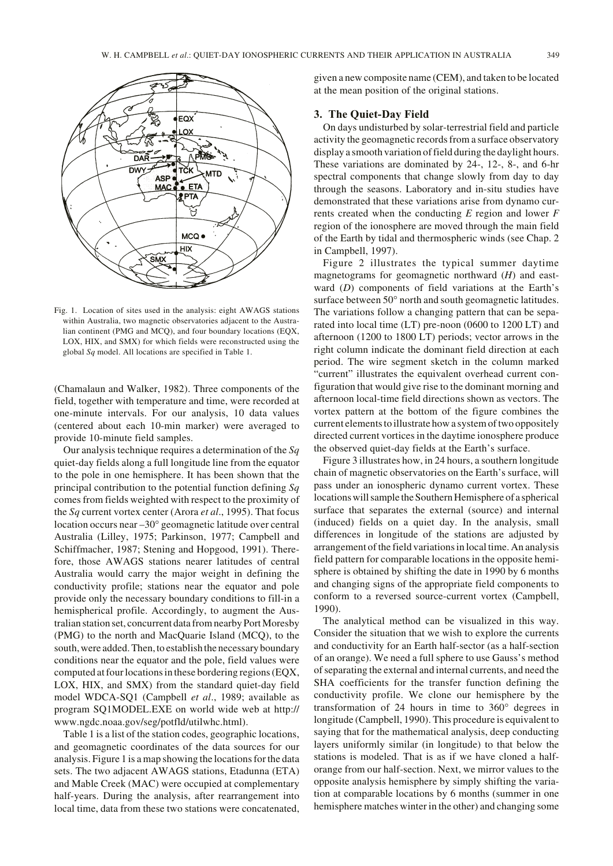

Fig. 1. Location of sites used in the analysis: eight AWAGS stations within Australia, two magnetic observatories adjacent to the Australian continent (PMG and MCQ), and four boundary locations (EQX, LOX, HIX, and SMX) for which fields were reconstructed using the global *Sq* model. All locations are specified in Table 1.

(Chamalaun and Walker, 1982). Three components of the field, together with temperature and time, were recorded at one-minute intervals. For our analysis, 10 data values (centered about each 10-min marker) were averaged to provide 10-minute field samples.

Our analysis technique requires a determination of the *Sq* quiet-day fields along a full longitude line from the equator to the pole in one hemisphere. It has been shown that the principal contribution to the potential function defining *Sq* comes from fields weighted with respect to the proximity of the *Sq* current vortex center (Arora *et al*., 1995). That focus location occurs near –30° geomagnetic latitude over central Australia (Lilley, 1975; Parkinson, 1977; Campbell and Schiffmacher, 1987; Stening and Hopgood, 1991). Therefore, those AWAGS stations nearer latitudes of central Australia would carry the major weight in defining the conductivity profile; stations near the equator and pole provide only the necessary boundary conditions to fill-in a hemispherical profile. Accordingly, to augment the Australian station set, concurrent data from nearby Port Moresby (PMG) to the north and MacQuarie Island (MCQ), to the south, were added. Then, to establish the necessary boundary conditions near the equator and the pole, field values were computed at four locations in these bordering regions (EQX, LOX, HIX, and SMX) from the standard quiet-day field model WDCA-SQ1 (Campbell *et al*., 1989; available as program SQ1MODEL.EXE on world wide web at http:// www.ngdc.noaa.gov/seg/potfld/utilwhc.html).

Table 1 is a list of the station codes, geographic locations, and geomagnetic coordinates of the data sources for our analysis. Figure 1 is a map showing the locations for the data sets. The two adjacent AWAGS stations, Etadunna (ETA) and Mable Creek (MAC) were occupied at complementary half-years. During the analysis, after rearrangement into local time, data from these two stations were concatenated, given a new composite name (CEM), and taken to be located at the mean position of the original stations.

# **3. The Quiet-Day Field**

On days undisturbed by solar-terrestrial field and particle activity the geomagnetic records from a surface observatory display a smooth variation of field during the daylight hours. These variations are dominated by 24-, 12-, 8-, and 6-hr spectral components that change slowly from day to day through the seasons. Laboratory and in-situ studies have demonstrated that these variations arise from dynamo currents created when the conducting *E* region and lower *F* region of the ionosphere are moved through the main field of the Earth by tidal and thermospheric winds (see Chap. 2 in Campbell, 1997).

Figure 2 illustrates the typical summer daytime magnetograms for geomagnetic northward (*H*) and eastward (*D*) components of field variations at the Earth's surface between 50° north and south geomagnetic latitudes. The variations follow a changing pattern that can be separated into local time (LT) pre-noon (0600 to 1200 LT) and afternoon (1200 to 1800 LT) periods; vector arrows in the right column indicate the dominant field direction at each period. The wire segment sketch in the column marked "current" illustrates the equivalent overhead current configuration that would give rise to the dominant morning and afternoon local-time field directions shown as vectors. The vortex pattern at the bottom of the figure combines the current elements to illustrate how a system of two oppositely directed current vortices in the daytime ionosphere produce the observed quiet-day fields at the Earth's surface.

Figure 3 illustrates how, in 24 hours, a southern longitude chain of magnetic observatories on the Earth's surface, will pass under an ionospheric dynamo current vortex. These locations will sample the Southern Hemisphere of a spherical surface that separates the external (source) and internal (induced) fields on a quiet day. In the analysis, small differences in longitude of the stations are adjusted by arrangement of the field variations in local time. An analysis field pattern for comparable locations in the opposite hemisphere is obtained by shifting the date in 1990 by 6 months and changing signs of the appropriate field components to conform to a reversed source-current vortex (Campbell, 1990).

The analytical method can be visualized in this way. Consider the situation that we wish to explore the currents and conductivity for an Earth half-sector (as a half-section of an orange). We need a full sphere to use Gauss's method of separating the external and internal currents, and need the SHA coefficients for the transfer function defining the conductivity profile. We clone our hemisphere by the transformation of 24 hours in time to 360° degrees in longitude (Campbell, 1990). This procedure is equivalent to saying that for the mathematical analysis, deep conducting layers uniformly similar (in longitude) to that below the stations is modeled. That is as if we have cloned a halforange from our half-section. Next, we mirror values to the opposite analysis hemisphere by simply shifting the variation at comparable locations by 6 months (summer in one hemisphere matches winter in the other) and changing some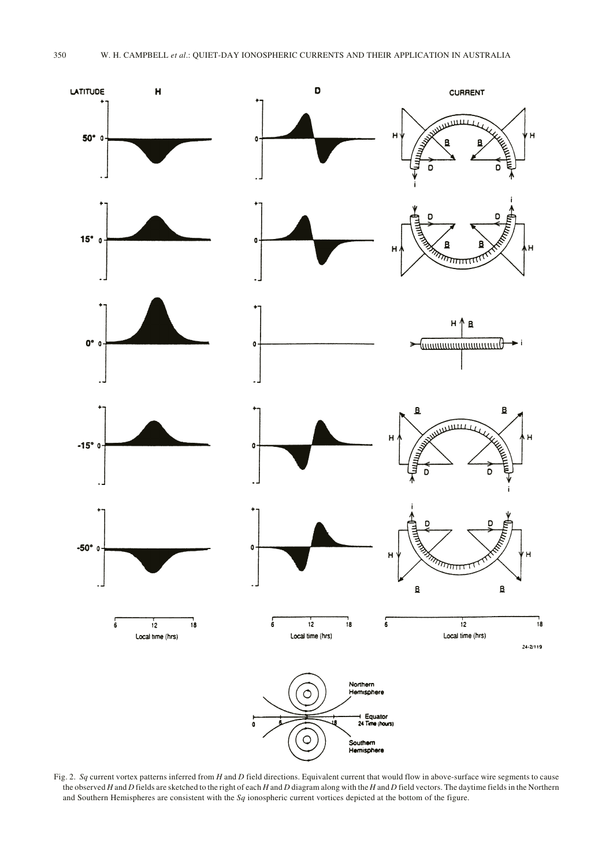

Fig. 2. *Sq* current vortex patterns inferred from *H* and *D* field directions. Equivalent current that would flow in above-surface wire segments to cause the observed *H* and *D* fields are sketched to the right of each *H* and *D* diagram along with the *H* and *D* field vectors. The daytime fields in the Northern and Southern Hemispheres are consistent with the *Sq* ionospheric current vortices depicted at the bottom of the figure.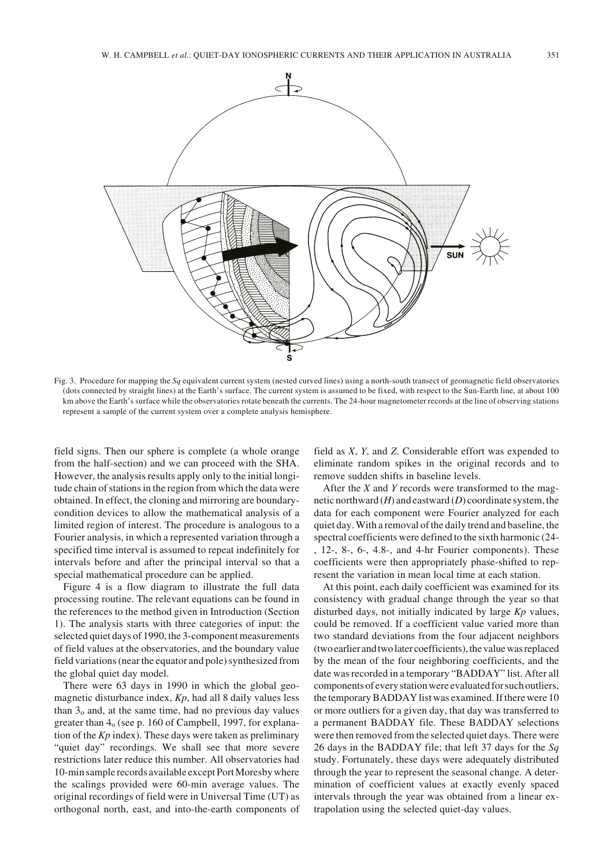

Fig. 3. Procedure for mapping the *Sq* equivalent current system (nested curved lines) using a north-south transect of geomagnetic field observatories (dots connected by straight lines) at the Earth's surface. The current system is assumed to be fixed, with respect to the Sun-Earth line, at about 100 km above the Earth's surface while the observatories rotate beneath the currents. The 24-hour magnetometer records at the line of observing stations represent a sample of the current system over a complete analysis hemisphere.

field signs. Then our sphere is complete (a whole orange from the half-section) and we can proceed with the SHA. However, the analysis results apply only to the initial longitude chain of stations in the region from which the data were obtained. In effect, the cloning and mirroring are boundarycondition devices to allow the mathematical analysis of a limited region of interest. The procedure is analogous to a Fourier analysis, in which a represented variation through a specified time interval is assumed to repeat indefinitely for intervals before and after the principal interval so that a special mathematical procedure can be applied.

Figure 4 is a flow diagram to illustrate the full data processing routine. The relevant equations can be found in the references to the method given in Introduction (Section 1). The analysis starts with three categories of input: the selected quiet days of 1990, the 3-component measurements of field values at the observatories, and the boundary value field variations (near the equator and pole) synthesized from the global quiet day model.

There were 63 days in 1990 in which the global geomagnetic disturbance index, *Kp*, had all 8 daily values less than  $3<sub>o</sub>$  and, at the same time, had no previous day values greater than 4o (see p. 160 of Campbell, 1997, for explanation of the *Kp* index). These days were taken as preliminary "quiet day" recordings. We shall see that more severe restrictions later reduce this number. All observatories had 10-min sample records available except Port Moresby where the scalings provided were 60-min average values. The original recordings of field were in Universal Time (UT) as orthogonal north, east, and into-the-earth components of

field as *X*, *Y*, and *Z*. Considerable effort was expended to eliminate random spikes in the original records and to remove sudden shifts in baseline levels.

After the *X* and *Y* records were transformed to the magnetic northward (*H*) and eastward (*D*) coordinate system, the data for each component were Fourier analyzed for each quiet day. With a removal of the daily trend and baseline, the spectral coefficients were defined to the sixth harmonic (24- , 12-, 8-, 6-, 4.8-, and 4-hr Fourier components). These coefficients were then appropriately phase-shifted to represent the variation in mean local time at each station.

At this point, each daily coefficient was examined for its consistency with gradual change through the year so that disturbed days, not initially indicated by large *Kp* values, could be removed. If a coefficient value varied more than two standard deviations from the four adjacent neighbors (two earlier and two later coefficients), the value was replaced by the mean of the four neighboring coefficients, and the date was recorded in a temporary "BADDAY" list. After all components of every station were evaluated for such outliers, the temporary BADDAY list was examined. If there were 10 or more outliers for a given day, that day was transferred to a permanent BADDAY file. These BADDAY selections were then removed from the selected quiet days. There were 26 days in the BADDAY file; that left 37 days for the *Sq* study. Fortunately, these days were adequately distributed through the year to represent the seasonal change. A determination of coefficient values at exactly evenly spaced intervals through the year was obtained from a linear extrapolation using the selected quiet-day values.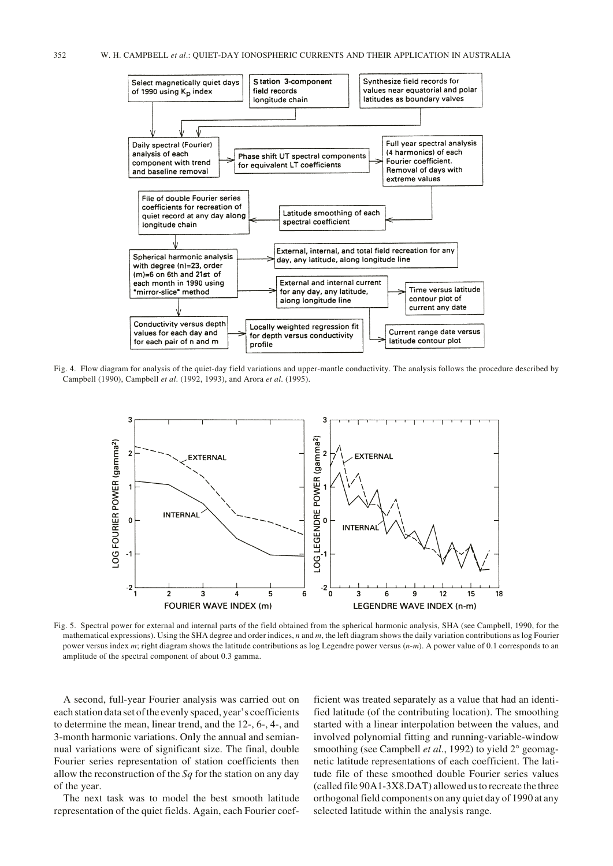

Fig. 4. Flow diagram for analysis of the quiet-day field variations and upper-mantle conductivity. The analysis follows the procedure described by Campbell (1990), Campbell *et al*. (1992, 1993), and Arora *et al*. (1995).



Fig. 5. Spectral power for external and internal parts of the field obtained from the spherical harmonic analysis, SHA (see Campbell, 1990, for the mathematical expressions). Using the SHA degree and order indices, *n* and *m*, the left diagram shows the daily variation contributions as log Fourier power versus index *m*; right diagram shows the latitude contributions as log Legendre power versus (*n*-*m*). A power value of 0.1 corresponds to an amplitude of the spectral component of about 0.3 gamma.

A second, full-year Fourier analysis was carried out on each station data set of the evenly spaced, year's coefficients to determine the mean, linear trend, and the 12-, 6-, 4-, and 3-month harmonic variations. Only the annual and semiannual variations were of significant size. The final, double Fourier series representation of station coefficients then allow the reconstruction of the *Sq* for the station on any day of the year.

The next task was to model the best smooth latitude representation of the quiet fields. Again, each Fourier coefficient was treated separately as a value that had an identified latitude (of the contributing location). The smoothing started with a linear interpolation between the values, and involved polynomial fitting and running-variable-window smoothing (see Campbell *et al.*, 1992) to yield 2° geomagnetic latitude representations of each coefficient. The latitude file of these smoothed double Fourier series values (called file 90A1-3X8.DAT) allowed us to recreate the three orthogonal field components on any quiet day of 1990 at any selected latitude within the analysis range.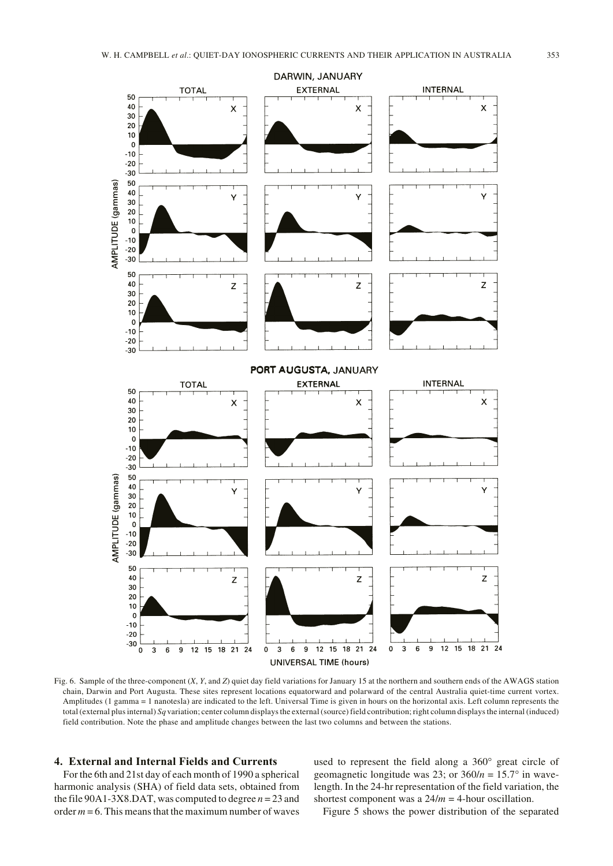

Fig. 6. Sample of the three-component (*X*, *Y*, and *Z*) quiet day field variations for January 15 at the northern and southern ends of the AWAGS station chain, Darwin and Port Augusta. These sites represent locations equatorward and polarward of the central Australia quiet-time current vortex. Amplitudes (1 gamma = 1 nanotesla) are indicated to the left. Universal Time is given in hours on the horizontal axis. Left column represents the total (external plus internal) *Sq* variation; center column displays the external (source) field contribution; right column displays the internal (induced) field contribution. Note the phase and amplitude changes between the last two columns and between the stations.

# **4. External and Internal Fields and Currents**

For the 6th and 21st day of each month of 1990 a spherical harmonic analysis (SHA) of field data sets, obtained from the file 90A1-3X8.DAT, was computed to degree  $n = 23$  and order  $m = 6$ . This means that the maximum number of waves

used to represent the field along a 360° great circle of geomagnetic longitude was 23; or  $360/n = 15.7^\circ$  in wavelength. In the 24-hr representation of the field variation, the shortest component was a 24/*m* = 4-hour oscillation.

Figure 5 shows the power distribution of the separated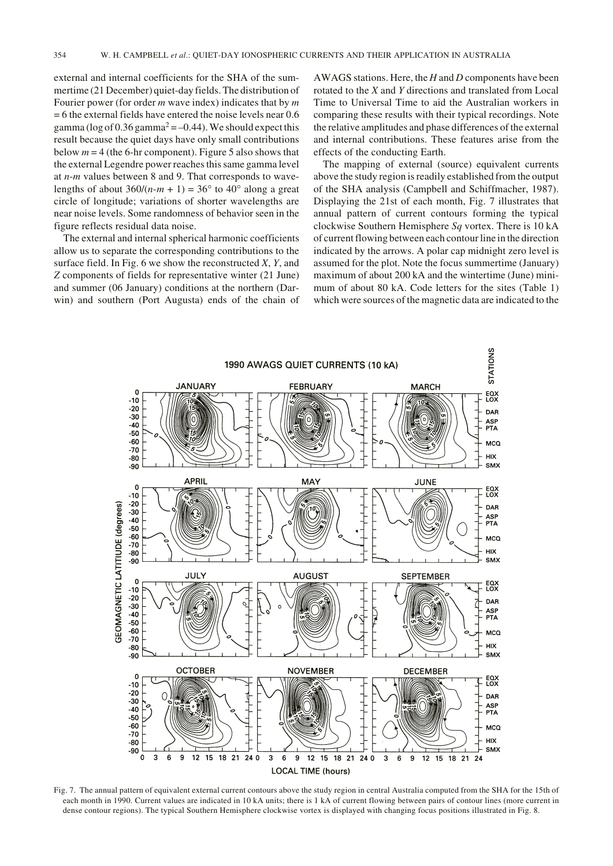external and internal coefficients for the SHA of the summertime (21 December) quiet-day fields. The distribution of Fourier power (for order *m* wave index) indicates that by *m* = 6 the external fields have entered the noise levels near 0.6 gamma (log of 0.36 gamma<sup>2</sup> = –0.44). We should expect this result because the quiet days have only small contributions below  $m = 4$  (the 6-hr component). Figure 5 also shows that the external Legendre power reaches this same gamma level at *n*-*m* values between 8 and 9. That corresponds to wavelengths of about  $360/(n-m + 1) = 36^{\circ}$  to  $40^{\circ}$  along a great circle of longitude; variations of shorter wavelengths are near noise levels. Some randomness of behavior seen in the figure reflects residual data noise.

The external and internal spherical harmonic coefficients allow us to separate the corresponding contributions to the surface field. In Fig. 6 we show the reconstructed *X*, *Y*, and *Z* components of fields for representative winter (21 June) and summer (06 January) conditions at the northern (Darwin) and southern (Port Augusta) ends of the chain of AWAGS stations. Here, the *H* and *D* components have been rotated to the *X* and *Y* directions and translated from Local Time to Universal Time to aid the Australian workers in comparing these results with their typical recordings. Note the relative amplitudes and phase differences of the external and internal contributions. These features arise from the effects of the conducting Earth.

The mapping of external (source) equivalent currents above the study region is readily established from the output of the SHA analysis (Campbell and Schiffmacher, 1987). Displaying the 21st of each month, Fig. 7 illustrates that annual pattern of current contours forming the typical clockwise Southern Hemisphere *Sq* vortex. There is 10 kA of current flowing between each contour line in the direction indicated by the arrows. A polar cap midnight zero level is assumed for the plot. Note the focus summertime (January) maximum of about 200 kA and the wintertime (June) minimum of about 80 kA. Code letters for the sites (Table 1) which were sources of the magnetic data are indicated to the



Fig. 7. The annual pattern of equivalent external current contours above the study region in central Australia computed from the SHA for the 15th of each month in 1990. Current values are indicated in 10 kA units; there is 1 kA of current flowing between pairs of contour lines (more current in dense contour regions). The typical Southern Hemisphere clockwise vortex is displayed with changing focus positions illustrated in Fig. 8.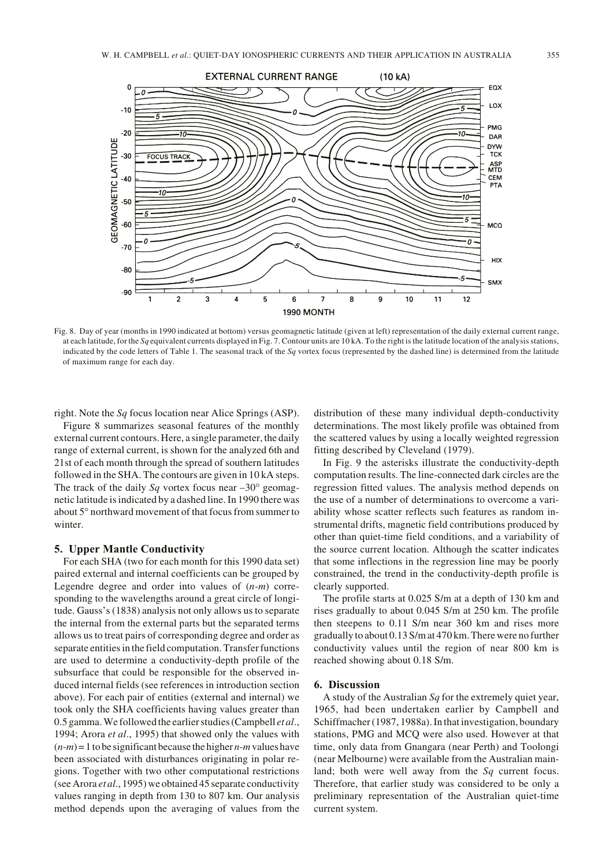

Fig. 8. Day of year (months in 1990 indicated at bottom) versus geomagnetic latitude (given at left) representation of the daily external current range, at each latitude, for the *Sq* equivalent currents displayed in Fig. 7. Contour units are 10 kA. To the right is the latitude location of the analysis stations, indicated by the code letters of Table 1. The seasonal track of the *Sq* vortex focus (represented by the dashed line) is determined from the latitude of maximum range for each day.

right. Note the *Sq* focus location near Alice Springs (ASP).

Figure 8 summarizes seasonal features of the monthly external current contours. Here, a single parameter, the daily range of external current, is shown for the analyzed 6th and 21st of each month through the spread of southern latitudes followed in the SHA. The contours are given in 10 kA steps. The track of the daily *Sq* vortex focus near  $-30^{\circ}$  geomagnetic latitude is indicated by a dashed line. In 1990 there was about 5° northward movement of that focus from summer to winter.

# **5. Upper Mantle Conductivity**

For each SHA (two for each month for this 1990 data set) paired external and internal coefficients can be grouped by Legendre degree and order into values of (*n*-*m*) corresponding to the wavelengths around a great circle of longitude. Gauss's (1838) analysis not only allows us to separate the internal from the external parts but the separated terms allows us to treat pairs of corresponding degree and order as separate entities in the field computation. Transfer functions are used to determine a conductivity-depth profile of the subsurface that could be responsible for the observed induced internal fields (see references in introduction section above). For each pair of entities (external and internal) we took only the SHA coefficients having values greater than 0.5 gamma. We followed the earlier studies (Campbell *et al*., 1994; Arora *et al*., 1995) that showed only the values with  $(n-m)=1$  to be significant because the higher  $n-m$  values have been associated with disturbances originating in polar regions. Together with two other computational restrictions (see Arora *et al*., 1995) we obtained 45 separate conductivity values ranging in depth from 130 to 807 km. Our analysis method depends upon the averaging of values from the distribution of these many individual depth-conductivity determinations. The most likely profile was obtained from the scattered values by using a locally weighted regression fitting described by Cleveland (1979).

In Fig. 9 the asterisks illustrate the conductivity-depth computation results. The line-connected dark circles are the regression fitted values. The analysis method depends on the use of a number of determinations to overcome a variability whose scatter reflects such features as random instrumental drifts, magnetic field contributions produced by other than quiet-time field conditions, and a variability of the source current location. Although the scatter indicates that some inflections in the regression line may be poorly constrained, the trend in the conductivity-depth profile is clearly supported.

The profile starts at 0.025 S/m at a depth of 130 km and rises gradually to about 0.045 S/m at 250 km. The profile then steepens to 0.11 S/m near 360 km and rises more gradually to about 0.13 S/m at 470 km. There were no further conductivity values until the region of near 800 km is reached showing about 0.18 S/m.

# **6. Discussion**

A study of the Australian *Sq* for the extremely quiet year, 1965, had been undertaken earlier by Campbell and Schiffmacher (1987, 1988a). In that investigation, boundary stations, PMG and MCQ were also used. However at that time, only data from Gnangara (near Perth) and Toolongi (near Melbourne) were available from the Australian mainland; both were well away from the *Sq* current focus. Therefore, that earlier study was considered to be only a preliminary representation of the Australian quiet-time current system.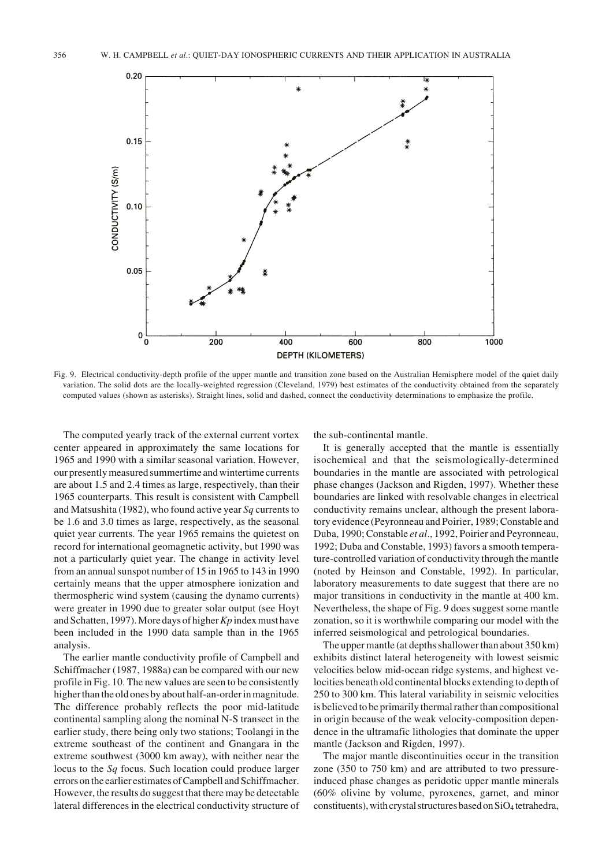

Fig. 9. Electrical conductivity-depth profile of the upper mantle and transition zone based on the Australian Hemisphere model of the quiet daily variation. The solid dots are the locally-weighted regression (Cleveland, 1979) best estimates of the conductivity obtained from the separately computed values (shown as asterisks). Straight lines, solid and dashed, connect the conductivity determinations to emphasize the profile.

The computed yearly track of the external current vortex center appeared in approximately the same locations for 1965 and 1990 with a similar seasonal variation. However, our presently measured summertime and wintertime currents are about 1.5 and 2.4 times as large, respectively, than their 1965 counterparts. This result is consistent with Campbell and Matsushita (1982), who found active year *Sq* currents to be 1.6 and 3.0 times as large, respectively, as the seasonal quiet year currents. The year 1965 remains the quietest on record for international geomagnetic activity, but 1990 was not a particularly quiet year. The change in activity level from an annual sunspot number of 15 in 1965 to 143 in 1990 certainly means that the upper atmosphere ionization and thermospheric wind system (causing the dynamo currents) were greater in 1990 due to greater solar output (see Hoyt and Schatten, 1997). More days of higher *Kp* index must have been included in the 1990 data sample than in the 1965 analysis.

The earlier mantle conductivity profile of Campbell and Schiffmacher (1987, 1988a) can be compared with our new profile in Fig. 10. The new values are seen to be consistently higher than the old ones by about half-an-order in magnitude. The difference probably reflects the poor mid-latitude continental sampling along the nominal N-S transect in the earlier study, there being only two stations; Toolangi in the extreme southeast of the continent and Gnangara in the extreme southwest (3000 km away), with neither near the locus to the *Sq* focus. Such location could produce larger errors on the earlier estimates of Campbell and Schiffmacher. However, the results do suggest that there may be detectable lateral differences in the electrical conductivity structure of the sub-continental mantle.

It is generally accepted that the mantle is essentially isochemical and that the seismologically-determined boundaries in the mantle are associated with petrological phase changes (Jackson and Rigden, 1997). Whether these boundaries are linked with resolvable changes in electrical conductivity remains unclear, although the present laboratory evidence (Peyronneau and Poirier, 1989; Constable and Duba, 1990; Constable *et al*., 1992, Poirier and Peyronneau, 1992; Duba and Constable, 1993) favors a smooth temperature-controlled variation of conductivity through the mantle (noted by Heinson and Constable, 1992). In particular, laboratory measurements to date suggest that there are no major transitions in conductivity in the mantle at 400 km. Nevertheless, the shape of Fig. 9 does suggest some mantle zonation, so it is worthwhile comparing our model with the inferred seismological and petrological boundaries.

The upper mantle (at depths shallower than about 350 km) exhibits distinct lateral heterogeneity with lowest seismic velocities below mid-ocean ridge systems, and highest velocities beneath old continental blocks extending to depth of 250 to 300 km. This lateral variability in seismic velocities is believed to be primarily thermal rather than compositional in origin because of the weak velocity-composition dependence in the ultramafic lithologies that dominate the upper mantle (Jackson and Rigden, 1997).

The major mantle discontinuities occur in the transition zone (350 to 750 km) and are attributed to two pressureinduced phase changes as peridotic upper mantle minerals (60% olivine by volume, pyroxenes, garnet, and minor constituents), with crystal structures based on SiO4 tetrahedra,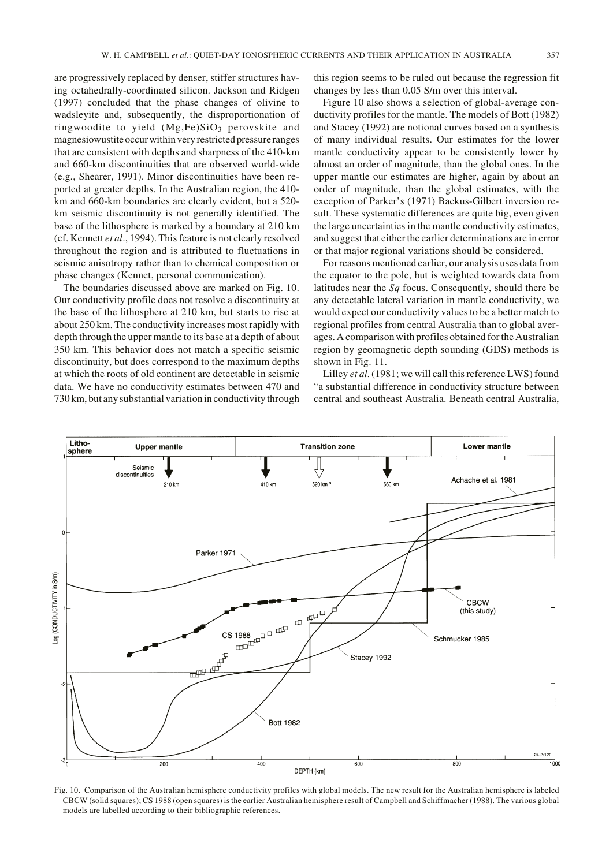are progressively replaced by denser, stiffer structures having octahedrally-coordinated silicon. Jackson and Ridgen (1997) concluded that the phase changes of olivine to wadsleyite and, subsequently, the disproportionation of ringwoodite to yield  $(Mg,Fe)SiO<sub>3</sub>$  perovskite and magnesiowustite occur within very restricted pressure ranges that are consistent with depths and sharpness of the 410-km and 660-km discontinuities that are observed world-wide (e.g., Shearer, 1991). Minor discontinuities have been reported at greater depths. In the Australian region, the 410 km and 660-km boundaries are clearly evident, but a 520 km seismic discontinuity is not generally identified. The base of the lithosphere is marked by a boundary at 210 km (cf. Kennett *et al*., 1994). This feature is not clearly resolved throughout the region and is attributed to fluctuations in seismic anisotropy rather than to chemical composition or phase changes (Kennet, personal communication).

The boundaries discussed above are marked on Fig. 10. Our conductivity profile does not resolve a discontinuity at the base of the lithosphere at 210 km, but starts to rise at about 250 km. The conductivity increases most rapidly with depth through the upper mantle to its base at a depth of about 350 km. This behavior does not match a specific seismic discontinuity, but does correspond to the maximum depths at which the roots of old continent are detectable in seismic data. We have no conductivity estimates between 470 and 730 km, but any substantial variation in conductivity through this region seems to be ruled out because the regression fit changes by less than 0.05 S/m over this interval.

Figure 10 also shows a selection of global-average conductivity profiles for the mantle. The models of Bott (1982) and Stacey (1992) are notional curves based on a synthesis of many individual results. Our estimates for the lower mantle conductivity appear to be consistently lower by almost an order of magnitude, than the global ones. In the upper mantle our estimates are higher, again by about an order of magnitude, than the global estimates, with the exception of Parker's (1971) Backus-Gilbert inversion result. These systematic differences are quite big, even given the large uncertainties in the mantle conductivity estimates, and suggest that either the earlier determinations are in error or that major regional variations should be considered.

For reasons mentioned earlier, our analysis uses data from the equator to the pole, but is weighted towards data from latitudes near the *Sq* focus. Consequently, should there be any detectable lateral variation in mantle conductivity, we would expect our conductivity values to be a better match to regional profiles from central Australia than to global averages. A comparison with profiles obtained for the Australian region by geomagnetic depth sounding (GDS) methods is shown in Fig. 11.

Lilley *et al*. (1981; we will call this reference LWS) found "a substantial difference in conductivity structure between central and southeast Australia. Beneath central Australia,



Fig. 10. Comparison of the Australian hemisphere conductivity profiles with global models. The new result for the Australian hemisphere is labeled CBCW (solid squares); CS 1988 (open squares) is the earlier Australian hemisphere result of Campbell and Schiffmacher (1988). The various global models are labelled according to their bibliographic references.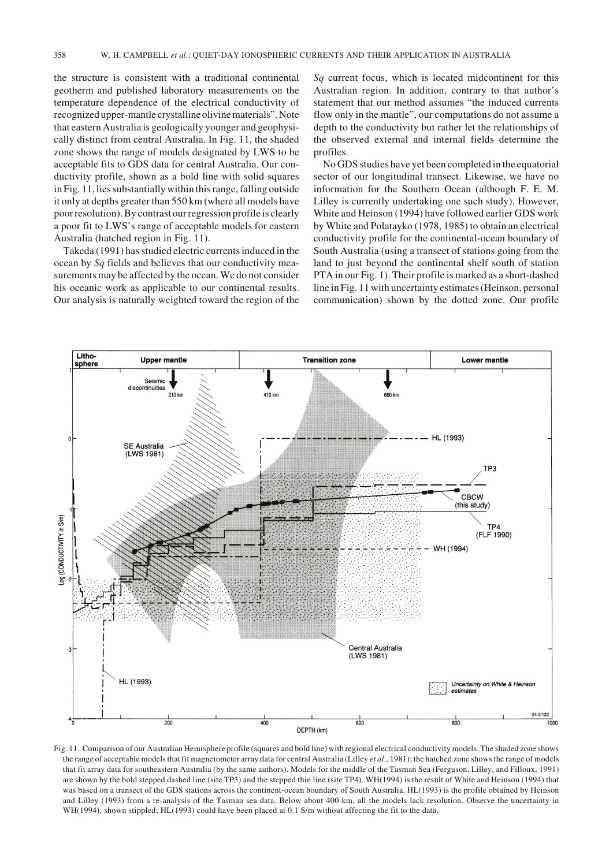the structure is consistent with a traditional continental geotherm and published laboratory measurements on the temperature dependence of the electrical conductivity of recognized upper-mantle crystalline olivine materials". Note that eastern Australia is geologically younger and geophysically distinct from central Australia. In Fig. 11, the shaded zone shows the range of models designated by LWS to be acceptable fits to GDS data for central Australia. Our conductivity profile, shown as a bold line with solid squares in Fig. 11, lies substantially within this range, falling outside it only at depths greater than 550 km (where all models have poor resolution). By contrast our regression profile is clearly a poor fit to LWS's range of acceptable models for eastern Australia (hatched region in Fig. 11).

Takeda (1991) has studied electric currents induced in the ocean by *Sq* fields and believes that our conductivity measurements may be affected by the ocean. We do not consider his oceanic work as applicable to our continental results. Our analysis is naturally weighted toward the region of the *Sq* current focus, which is located midcontinent for this Australian region. In addition, contrary to that author's statement that our method assumes "the induced currents flow only in the mantle", our computations do not assume a depth to the conductivity but rather let the relationships of the observed external and internal fields determine the profiles.

No GDS studies have yet been completed in the equatorial sector of our longitudinal transect. Likewise, we have no information for the Southern Ocean (although F. E. M. Lilley is currently undertaking one such study). However, White and Heinson (1994) have followed earlier GDS work by White and Polatayko (1978, 1985) to obtain an electrical conductivity profile for the continental-ocean boundary of South Australia (using a transect of stations going from the land to just beyond the continental shelf south of station PTA in our Fig. 1). Their profile is marked as a short-dashed line in Fig. 11 with uncertainty estimates (Heinson, personal communication) shown by the dotted zone. Our profile



Fig. 11. Comparison of our Australian Hemisphere profile (squares and bold line) with regional electrical conductivity models. The shaded zone shows the range of acceptable models that fit magnetometer array data for central Australia (Lilley *et al*., 1981); the hatched zone shows the range of models that fit array data for southeastern Australia (by the same authors). Models for the middle of the Tasman Sea (Ferguson, Lilley, and Filloux, 1991) are shown by the bold stepped dashed line (site TP3) and the stepped thin line (site TP4). WH(1994) is the result of White and Heinson (1994) that was based on a transect of the GDS stations across the continent-ocean boundary of South Australia. HL(1993) is the profile obtained by Heinson and Lilley (1993) from a re-analysis of the Tasman sea data. Below about 400 km, all the models lack resolution. Observe the uncertainty in WH(1994), shown stippled; HL(1993) could have been placed at 0.1 S/m without affecting the fit to the data.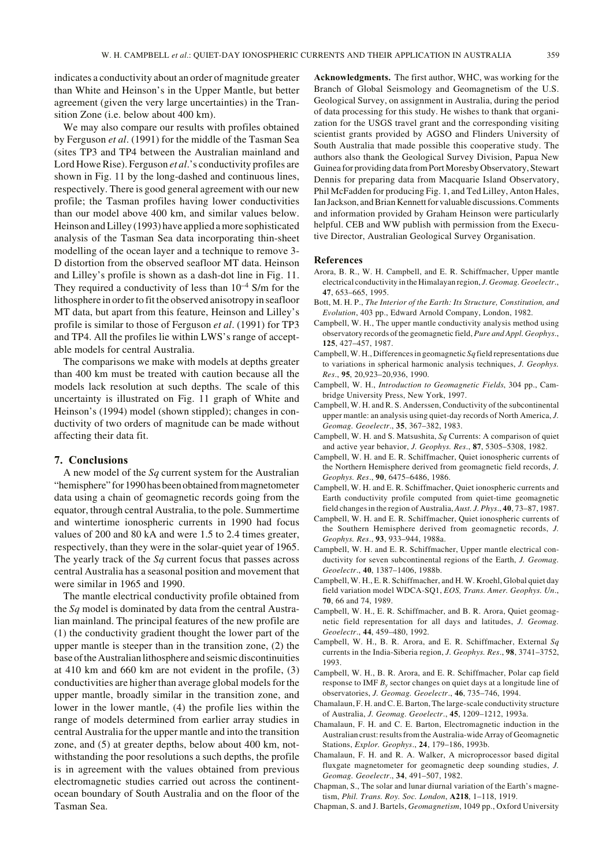indicates a conductivity about an order of magnitude greater than White and Heinson's in the Upper Mantle, but better agreement (given the very large uncertainties) in the Transition Zone (i.e. below about 400 km).

We may also compare our results with profiles obtained by Ferguson *et al*. (1991) for the middle of the Tasman Sea (sites TP3 and TP4 between the Australian mainland and Lord Howe Rise). Ferguson *et al*.'s conductivity profiles are shown in Fig. 11 by the long-dashed and continuous lines, respectively. There is good general agreement with our new profile; the Tasman profiles having lower conductivities than our model above 400 km, and similar values below. Heinson and Lilley (1993) have applied a more sophisticated analysis of the Tasman Sea data incorporating thin-sheet modelling of the ocean layer and a technique to remove 3- D distortion from the observed seafloor MT data. Heinson and Lilley's profile is shown as a dash-dot line in Fig. 11. They required a conductivity of less than  $10^{-4}$  S/m for the lithosphere in order to fit the observed anisotropy in seafloor MT data, but apart from this feature, Heinson and Lilley's profile is similar to those of Ferguson *et al*. (1991) for TP3 and TP4. All the profiles lie within LWS's range of acceptable models for central Australia.

The comparisons we make with models at depths greater than 400 km must be treated with caution because all the models lack resolution at such depths. The scale of this uncertainty is illustrated on Fig. 11 graph of White and Heinson's (1994) model (shown stippled); changes in conductivity of two orders of magnitude can be made without affecting their data fit.

### **7. Conclusions**

A new model of the *Sq* current system for the Australian "hemisphere" for 1990 has been obtained from magnetometer data using a chain of geomagnetic records going from the equator, through central Australia, to the pole. Summertime and wintertime ionospheric currents in 1990 had focus values of 200 and 80 kA and were 1.5 to 2.4 times greater, respectively, than they were in the solar-quiet year of 1965. The yearly track of the *Sq* current focus that passes across central Australia has a seasonal position and movement that were similar in 1965 and 1990.

The mantle electrical conductivity profile obtained from the *Sq* model is dominated by data from the central Australian mainland. The principal features of the new profile are (1) the conductivity gradient thought the lower part of the upper mantle is steeper than in the transition zone, (2) the base of the Australian lithosphere and seismic discontinuities at 410 km and 660 km are not evident in the profile, (3) conductivities are higher than average global models for the upper mantle, broadly similar in the transition zone, and lower in the lower mantle, (4) the profile lies within the range of models determined from earlier array studies in central Australia for the upper mantle and into the transition zone, and (5) at greater depths, below about 400 km, notwithstanding the poor resolutions a such depths, the profile is in agreement with the values obtained from previous electromagnetic studies carried out across the continentocean boundary of South Australia and on the floor of the Tasman Sea.

**Acknowledgments.** The first author, WHC, was working for the Branch of Global Seismology and Geomagnetism of the U.S. Geological Survey, on assignment in Australia, during the period of data processing for this study. He wishes to thank that organization for the USGS travel grant and the corresponding visiting scientist grants provided by AGSO and Flinders University of South Australia that made possible this cooperative study. The authors also thank the Geological Survey Division, Papua New Guinea for providing data from Port Moresby Observatory, Stewart Dennis for preparing data from Macquarie Island Observatory, Phil McFadden for producing Fig. 1, and Ted Lilley, Anton Hales, Ian Jackson, and Brian Kennett for valuable discussions. Comments and information provided by Graham Heinson were particularly helpful. CEB and WW publish with permission from the Executive Director, Australian Geological Survey Organisation.

#### **References**

- Arora, B. R., W. H. Campbell, and E. R. Schiffmacher, Upper mantle electrical conductivity in the Himalayan region, *J. Geomag. Geoelectr*., **47**, 653–665, 1995.
- Bott, M. H. P., *The Interior of the Earth: Its Structure, Constitution, and Evolution*, 403 pp., Edward Arnold Company, London, 1982.
- Campbell, W. H., The upper mantle conductivity analysis method using observatory records of the geomagnetic field, *Pure and Appl. Geophys*., **125**, 427–457, 1987.
- Campbell, W. H., Differences in geomagnetic *Sq* field representations due to variations in spherical harmonic analysis techniques, *J. Geophys. Res*., **95**, 20,923–20,936, 1990.
- Campbell, W. H., *Introduction to Geomagnetic Fields*, 304 pp., Cambridge University Press, New York, 1997.
- Campbell, W. H. and R. S. Anderssen, Conductivity of the subcontinental upper mantle: an analysis using quiet-day records of North America, *J. Geomag. Geoelectr*., **35**, 367–382, 1983.
- Campbell, W. H. and S. Matsushita, *Sq* Currents: A comparison of quiet and active year behavior, *J. Geophys. Res*., **87**, 5305–5308, 1982.
- Campbell, W. H. and E. R. Schiffmacher, Quiet ionospheric currents of the Northern Hemisphere derived from geomagnetic field records, *J. Geophys. Res*., **90**, 6475–6486, 1986.
- Campbell, W. H. and E. R. Schiffmacher, Quiet ionospheric currents and Earth conductivity profile computed from quiet-time geomagnetic field changes in the region of Australia, *Aust. J. Phys*., **40**, 73–87, 1987.
- Campbell, W. H. and E. R. Schiffmacher, Quiet ionospheric currents of the Southern Hemisphere derived from geomagnetic records, *J. Geophys. Res*., **93**, 933–944, 1988a.
- Campbell, W. H. and E. R. Schiffmacher, Upper mantle electrical conductivity for seven subcontinental regions of the Earth, *J. Geomag. Geoelectr*., **40**, 1387–1406, 1988b.
- Campbell, W. H., E. R. Schiffmacher, and H. W. Kroehl, Global quiet day field variation model WDCA-SQ1, *EOS, Trans. Amer. Geophys. Un*., **70**, 66 and 74, 1989.
- Campbell, W. H., E. R. Schiffmacher, and B. R. Arora, Quiet geomagnetic field representation for all days and latitudes, *J. Geomag. Geoelectr*., **44**, 459–480, 1992.
- Campbell, W. H., B. R. Arora, and E. R. Schiffmacher, External *Sq* currents in the India-Siberia region, *J. Geophys. Res*., **98**, 3741–3752, 1993.
- Campbell, W. H., B. R. Arora, and E. R. Schiffmacher, Polar cap field response to IMF *By* sector changes on quiet days at a longitude line of observatories, *J. Geomag. Geoelectr*., **46**, 735–746, 1994.
- Chamalaun, F. H. and C. E. Barton, The large-scale conductivity structure of Australia, *J. Geomag. Geoelectr*., **45**, 1209–1212, 1993a.
- Chamalaun, F. H. and C. E. Barton, Electromagnetic induction in the Australian crust: results from the Australia-wide Array of Geomagnetic Stations, *Explor. Geophys*., **24**, 179–186, 1993b.
- Chamalaun, F. H. and R. A. Walker, A microprocessor based digital fluxgate magnetometer for geomagnetic deep sounding studies, *J. Geomag. Geoelectr*., **34**, 491–507, 1982.
- Chapman, S., The solar and lunar diurnal variation of the Earth's magnetism, *Phil. Trans. Roy. Soc. London*, **A218**, 1–118, 1919.
- Chapman, S. and J. Bartels, *Geomagnetism*, 1049 pp., Oxford University